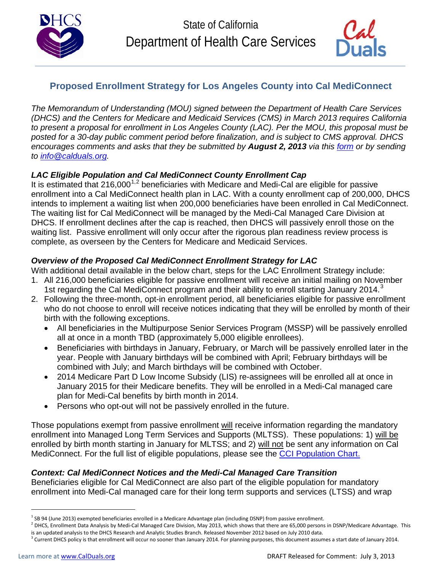



## **Proposed Enrollment Strategy for Los Angeles County into Cal MediConnect**

*The Memorandum of Understanding (MOU) signed between the Department of Health Care Services (DHCS) and the Centers for Medicare and Medicaid Services (CMS) in March 2013 requires California to present a proposal for enrollment in Los Angeles County (LAC). Per the MOU, this proposal must be posted for a 30-day public comment period before finalization, and is subject to CMS approval. DHCS encourages comments and asks that they be submitted by August 2, 2013 via this [form](http://www.calduals.org/wp-content/uploads/2013/07/Comment-Template-Proposed-LA-Enrollment-Strategy.doc) or by sending to [info@calduals.org.](mailto:info@calduals.org)* 

### *LAC Eligible Population and Cal MediConnect County Enrollment Cap*

It is estimated that 2[1](#page-0-0)6,000<sup>1,[2](#page-0-1)</sup> beneficiaries with Medicare and Medi-Cal are eligible for passive enrollment into a Cal MediConnect health plan in LAC. With a county enrollment cap of 200,000, DHCS intends to implement a waiting list when 200,000 beneficiaries have been enrolled in Cal MediConnect. The waiting list for Cal MediConnect will be managed by the Medi-Cal Managed Care Division at DHCS. If enrollment declines after the cap is reached, then DHCS will passively enroll those on the waiting list. Passive enrollment will only occur after the rigorous plan readiness review process is complete, as overseen by the Centers for Medicare and Medicaid Services.

### *Overview of the Proposed Cal MediConnect Enrollment Strategy for LAC*

With additional detail available in the below chart, steps for the LAC Enrollment Strategy include:

- 1. All 216,000 beneficiaries eligible for passive enrollment will receive an initial mailing on November 1st regarding the Cal MediConnect program and their ability to enroll starting January 2014.<sup>[3](#page-0-2)</sup>
- 2. Following the three-month, opt-in enrollment period, all beneficiaries eligible for passive enrollment who do not choose to enroll will receive notices indicating that they will be enrolled by month of their birth with the following exceptions.
	- All beneficiaries in the Multipurpose Senior Services Program (MSSP) will be passively enrolled all at once in a month TBD (approximately 5,000 eligible enrollees).
	- Beneficiaries with birthdays in January, February, or March will be passively enrolled later in the year. People with January birthdays will be combined with April; February birthdays will be combined with July; and March birthdays will be combined with October.
	- 2014 Medicare Part D Low Income Subsidy (LIS) re-assignees will be enrolled all at once in January 2015 for their Medicare benefits. They will be enrolled in a Medi-Cal managed care plan for Medi-Cal benefits by birth month in 2014.
	- Persons who opt-out will not be passively enrolled in the future.

Those populations exempt from passive enrollment will receive information regarding the mandatory enrollment into Managed Long Term Services and Supports (MLTSS). These populations: 1) will be enrolled by birth month starting in January for MLTSS; and 2) will not be sent any information on Cal MediConnect. For the full list of eligible populations, please see the [CCI Population Chart.](http://www.calduals.org/wp-content/uploads/2012/08/CCI-Participating-Populations_7.1.13.pdf)

### *Context: Cal MediConnect Notices and the Medi-Cal Managed Care Transition*

Beneficiaries eligible for Cal MediConnect are also part of the eligible population for mandatory enrollment into Medi-Cal managed care for their long term supports and services (LTSS) and wrap

l

<span id="page-0-0"></span> $1$  SB 94 (June 2013) exempted beneficiaries enrolled in a Medicare Advantage plan (including DSNP) from passive enrollment.

<span id="page-0-1"></span> $^2$  DHCS, Enrollment Data Analysis by Medi-Cal Managed Care Division, May 2013, which shows that there are 65,000 persons in DSNP/Medicare Advantage. This is an updated analysis to the DHCS Research and Analytic Studies Branch. Released November 2012 based on July 2010 data.

<span id="page-0-2"></span><sup>3</sup> Current DHCS policy is that enrollment will occur no sooner than January 2014. For planning purposes, this document assumes a start date of January 2014.